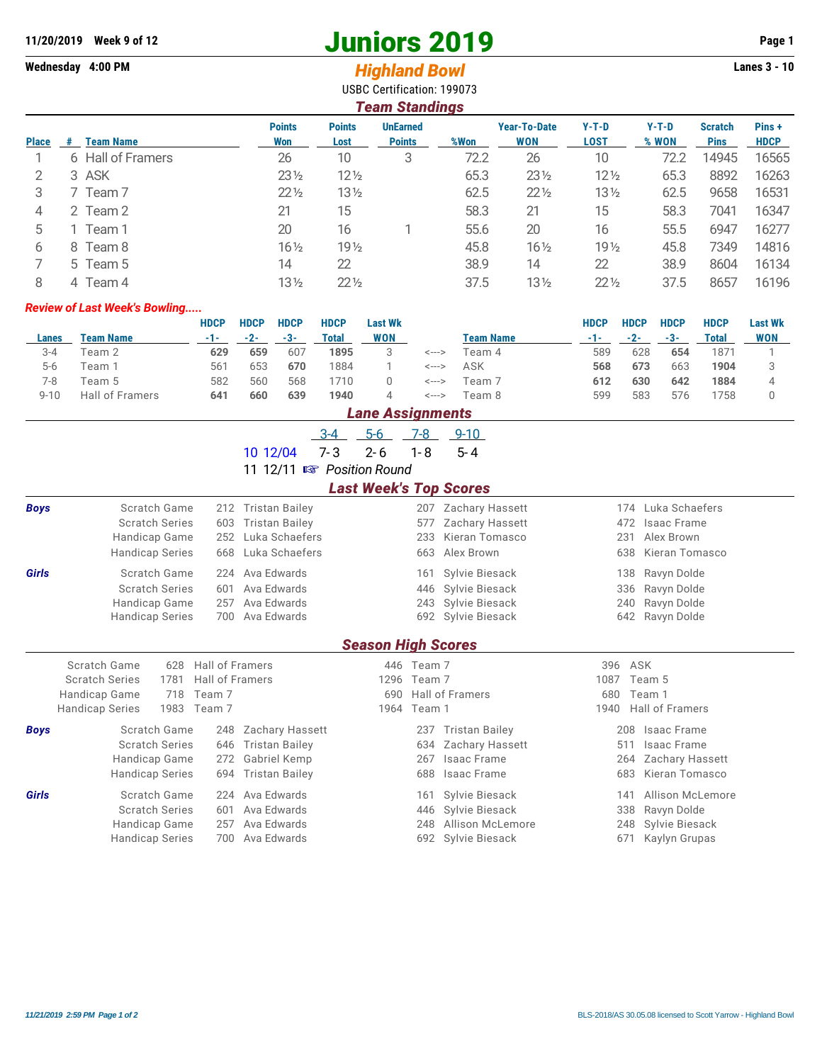# **11/20/2019** Week 9 of 12<br> **11/20/2019** Page 1<br> **11/20/2019** Page 1<br> **11/20/2019** Wednesday 4:00 PM<br> **11/20/2019** Page 1<br> **11/20/2019** Page 1<br> **11/20/2019** Page 1

## Wednesday 4:00 PM *Highland Bowl*

USBC Certification: 199073

| <b>Team Standings</b> |   |                   |                      |                       |                                  |      |                                   |                        |                  |                               |                       |  |
|-----------------------|---|-------------------|----------------------|-----------------------|----------------------------------|------|-----------------------------------|------------------------|------------------|-------------------------------|-----------------------|--|
| <b>Place</b>          | # | <b>Team Name</b>  | <b>Points</b><br>Won | <b>Points</b><br>Lost | <b>UnEarned</b><br><b>Points</b> | %Won | <b>Year-To-Date</b><br><b>WON</b> | $Y-T-D$<br><b>LOST</b> | $Y-T-D$<br>% WON | <b>Scratch</b><br><b>Pins</b> | Pins +<br><b>HDCP</b> |  |
|                       |   | 6 Hall of Framers | 26                   | 10                    | 3                                | 72.2 | 26                                | 10                     | 72.2             | 14945                         | 16565                 |  |
| 2                     |   | 3 ASK             | $23\frac{1}{2}$      | $12\frac{1}{2}$       |                                  | 65.3 | $23\frac{1}{2}$                   | $12\frac{1}{2}$        | 65.3             | 8892                          | 16263                 |  |
| 3                     |   | 7 Team 7          | $22\frac{1}{2}$      | $13\frac{1}{2}$       |                                  | 62.5 | $22\frac{1}{2}$                   | $13\frac{1}{2}$        | 62.5             | 9658                          | 16531                 |  |
| 4                     |   | 2 Team 2          | 21                   | 15                    |                                  | 58.3 | 21                                | 15                     | 58.3             | 7041                          | 16347                 |  |
| 5                     |   | Team 1            | 20                   | 16                    |                                  | 55.6 | 20                                | 16                     | 55.5             | 6947                          | 16277                 |  |
| 6                     |   | 8 Team 8          | $16\frac{1}{2}$      | 19 <sub>2</sub>       |                                  | 45.8 | $16\frac{1}{2}$                   | 19 <sub>2</sub>        | 45.8             | 7349                          | 14816                 |  |
|                       |   | 5 Team 5          | 14                   | 22                    |                                  | 38.9 | 14                                | 22                     | 38.9             | 8604                          | 16134                 |  |
| 8                     |   | 4 Team 4          | $13\frac{1}{2}$      | $22\frac{1}{2}$       |                                  | 37.5 | $13\frac{1}{2}$                   | $22\frac{1}{2}$        | 37.5             | 8657                          | 16196                 |  |

#### *Review of Last Week's Bowling.....*

|         |                        | <b>HDCP</b>     | <b>HDCP</b> | <b>HDCP</b> | <b>HDCP</b> | <b>Last Wk</b> |       |           | <b>HDCP</b> | <b>HDCP</b> | <b>HDCP</b> | <b>HDCP</b> | <b>Last Wk</b> |
|---------|------------------------|-----------------|-------------|-------------|-------------|----------------|-------|-----------|-------------|-------------|-------------|-------------|----------------|
| Lanes   | Team Name              |                 | $-2-$       | $-3-$       | Total       | WON            |       | Team Name | -1-         | $-2-$       | $-3-$       | Total       | <b>WON</b>     |
| $3 - 4$ | Team 2                 | 629             | 659         | 607         | 1895        |                | <---> | Геаm 4    | 589         | 628         | 654         | 1871        |                |
| $5-6$   | Feam 1                 | 56 <sup>2</sup> | 653         | 670         | 1884        |                | <---> | ASK       | 568         | 673         | 663         | 1904        |                |
| 7-8     | Team 5                 | 582             | 560         | 568         | 710         |                | <---> | Feam 7    | 612         | 630         | 642         | 1884        |                |
| 9-10    | <b>Hall of Framers</b> | 641             | 660         | 639         | 1940        |                | <---> | Feam 8    | 599         | 583         | 576         | 758         |                |

### *Lane Assignments*

|                               |                                |                 |                                   | $5-6$<br>$-3-4$           | 7-8        | $9 - 10$               |                                |  |  |  |  |  |  |
|-------------------------------|--------------------------------|-----------------|-----------------------------------|---------------------------|------------|------------------------|--------------------------------|--|--|--|--|--|--|
|                               |                                |                 | 10 12/04                          | $7 - 3$<br>$2 - 6$        | $1 - 8$    | $5 - 4$                |                                |  |  |  |  |  |  |
|                               |                                |                 | 11 12/11 <b>IS Position Round</b> |                           |            |                        |                                |  |  |  |  |  |  |
| <b>Last Week's Top Scores</b> |                                |                 |                                   |                           |            |                        |                                |  |  |  |  |  |  |
| <b>Boys</b>                   | Scratch Game                   | 212             | <b>Tristan Bailey</b>             |                           |            | 207 Zachary Hassett    | Luka Schaefers<br>174          |  |  |  |  |  |  |
|                               | <b>Scratch Series</b>          | 603             | <b>Tristan Bailey</b>             |                           | 577        | Zachary Hassett        | Isaac Frame<br>472             |  |  |  |  |  |  |
|                               | Handicap Game                  | 252             | Luka Schaefers                    |                           | 233        | Kieran Tomasco         | Alex Brown<br>231              |  |  |  |  |  |  |
|                               | <b>Handicap Series</b>         | Luka Schaefers  |                                   | 663                       | Alex Brown | Kieran Tomasco<br>638  |                                |  |  |  |  |  |  |
| Girls                         | Scratch Game                   | 224             | Ava Edwards                       |                           | 161        | Sylvie Biesack         | Ravyn Dolde<br>138             |  |  |  |  |  |  |
|                               | <b>Scratch Series</b>          | 601             | Ava Edwards                       |                           | 446        | Sylvie Biesack         | 336<br>Ravyn Dolde             |  |  |  |  |  |  |
|                               | Handicap Game                  | 257             | Ava Edwards                       |                           | 243        | Sylvie Biesack         | Ravyn Dolde<br>240             |  |  |  |  |  |  |
|                               | <b>Handicap Series</b>         | 700             | Ava Edwards                       |                           |            | 692 Sylvie Biesack     | Ravyn Dolde<br>642             |  |  |  |  |  |  |
|                               |                                |                 |                                   |                           |            |                        |                                |  |  |  |  |  |  |
|                               |                                |                 |                                   | <b>Season High Scores</b> |            |                        |                                |  |  |  |  |  |  |
|                               |                                |                 |                                   |                           |            |                        |                                |  |  |  |  |  |  |
|                               | Scratch Game<br>628            | Hall of Framers |                                   | 446                       | Team 7     |                        | ASK<br>396                     |  |  |  |  |  |  |
|                               | <b>Scratch Series</b><br>1781  | Hall of Framers |                                   | 1296                      | Team 7     |                        | Team 5<br>1087                 |  |  |  |  |  |  |
|                               | Handicap Game<br>718           | Team 7          |                                   | 690                       |            | Hall of Framers        | Team 1<br>680                  |  |  |  |  |  |  |
|                               | 1983<br><b>Handicap Series</b> | Team 7          |                                   | 1964                      | Team 1     |                        | <b>Hall of Framers</b><br>1940 |  |  |  |  |  |  |
| <b>Boys</b>                   | Scratch Game                   | 248             | <b>Zachary Hassett</b>            |                           | 237        | Tristan Bailey         | <b>Isaac Frame</b><br>208      |  |  |  |  |  |  |
|                               | <b>Scratch Series</b>          | 646             | <b>Tristan Bailey</b>             |                           | 634        | <b>Zachary Hassett</b> | Isaac Frame<br>511             |  |  |  |  |  |  |
|                               | Handicap Game                  | 272             | Gabriel Kemp                      |                           | 267        | Isaac Frame            | Zachary Hassett<br>264         |  |  |  |  |  |  |
|                               | <b>Handicap Series</b>         | 694             | <b>Tristan Bailey</b>             |                           | 688        | Isaac Frame            | Kieran Tomasco<br>683          |  |  |  |  |  |  |
| Girls                         | Scratch Game                   | 224             | Ava Edwards                       |                           | 161        | Sylvie Biesack         | Allison McLemore<br>141        |  |  |  |  |  |  |
|                               | <b>Scratch Series</b>          | 601             | Ava Edwards                       |                           | 446        | Sylvie Biesack         | Ravyn Dolde<br>338             |  |  |  |  |  |  |
|                               | Handicap Game                  | 257             | Ava Edwards                       |                           | 248        | Allison McLemore       | Sylvie Biesack<br>248          |  |  |  |  |  |  |